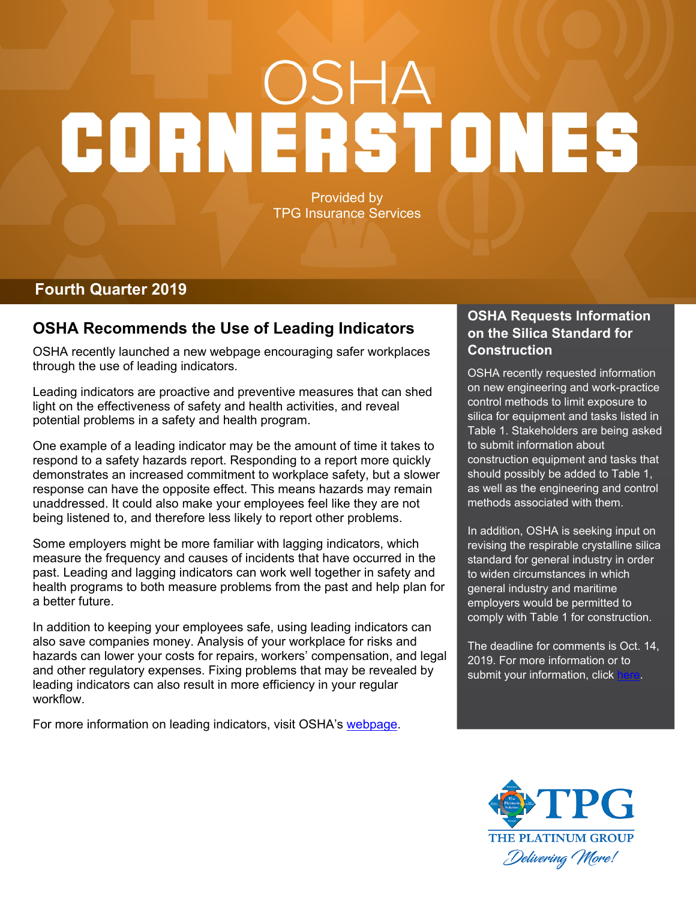# CORNERSTONES

Provided by TPG Insurance Services

### **Fourth Quarter 2019**

### **OSHA Recommends the Use of Leading Indicators**

OSHA recently launched a new webpage encouraging safer workplaces through the use of leading indicators.

Leading indicators are proactive and preventive measures that can shed light on the effectiveness of safety and health activities, and reveal potential problems in a safety and health program.

One example of a leading indicator may be the amount of time it takes to respond to a safety hazards report. Responding to a report more quickly demonstrates an increased commitment to workplace safety, but a slower response can have the opposite effect. This means hazards may remain unaddressed. It could also make your employees feel like they are not being listened to, and therefore less likely to report other problems.

Some employers might be more familiar with lagging indicators, which measure the frequency and causes of incidents that have occurred in the past. Leading and lagging indicators can work well together in safety and health programs to both measure problems from the past and help plan for a better future.

In addition to keeping your employees safe, using leading indicators can also save companies money. Analysis of your workplace for risks and hazards can lower your costs for repairs, workers' compensation, and legal and other regulatory expenses. Fixing problems that may be revealed by leading indicators can also result in more efficiency in your regular workflow.

For more information on leading indicators, visit OSHA's [webpage.](https://www.osha.gov/leadingindicators/)

### **OSHA Requests Information on the Silica Standard for Construction**

OSHA recently requested information on new engineering and work-practice control methods to limit exposure to silica for equipment and tasks listed in Table 1. Stakeholders are being asked to submit information about construction equipment and tasks that should possibly be added to Table 1, as well as the engineering and control methods associated with them.

In addition, OSHA is seeking input on revising the respirable crystalline silica standard for general industry in order to widen circumstances in which general industry and maritime employers would be permitted to comply with Table 1 for construction.

The deadline for comments is Oct. 14, 2019. For more information or to submit your information, click